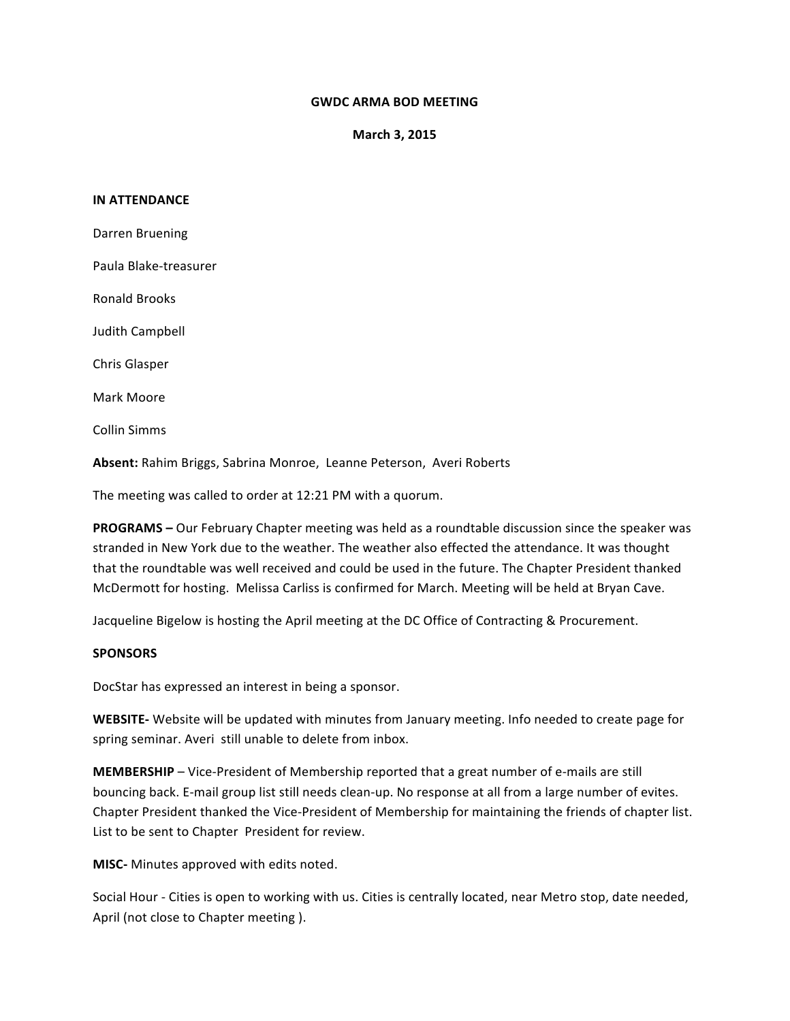## **GWDC ARMA BOD MEETING**

**March 3, 2015**

## **IN ATTENDANCE**

Darren Bruening Paula Blake-treasurer Ronald Brooks Judith Campbell Chris Glasper Mark Moore Collin Simms

Absent: Rahim Briggs, Sabrina Monroe, Leanne Peterson, Averi Roberts

The meeting was called to order at 12:21 PM with a quorum.

**PROGRAMS** – Our February Chapter meeting was held as a roundtable discussion since the speaker was stranded in New York due to the weather. The weather also effected the attendance. It was thought that the roundtable was well received and could be used in the future. The Chapter President thanked McDermott for hosting. Melissa Carliss is confirmed for March. Meeting will be held at Bryan Cave.

Jacqueline Bigelow is hosting the April meeting at the DC Office of Contracting & Procurement.

## **SPONSORS**

DocStar has expressed an interest in being a sponsor.

**WEBSITE-** Website will be updated with minutes from January meeting. Info needed to create page for spring seminar. Averi still unable to delete from inbox.

**MEMBERSHIP** – Vice-President of Membership reported that a great number of e-mails are still bouncing back. E-mail group list still needs clean-up. No response at all from a large number of evites. Chapter President thanked the Vice-President of Membership for maintaining the friends of chapter list. List to be sent to Chapter President for review.

**MISC-** Minutes approved with edits noted.

Social Hour - Cities is open to working with us. Cities is centrally located, near Metro stop, date needed, April (not close to Chapter meeting ).